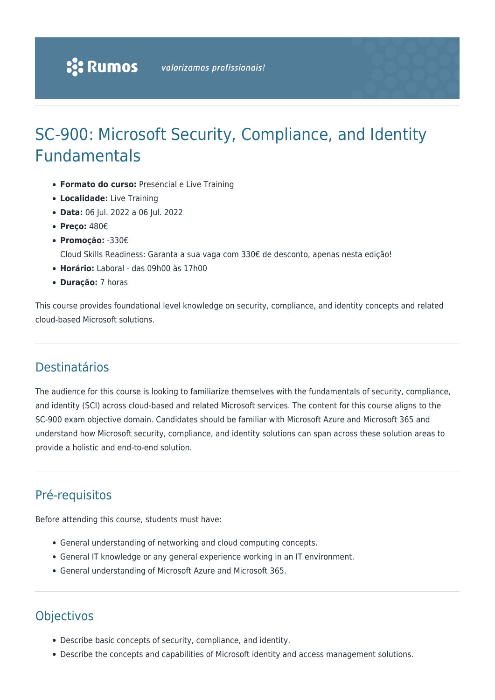# SC-900: Microsoft Security, Compliance, and Identity Fundamentals

- **Formato do curso:** Presencial e Live Training
- **Localidade:** Live Training
- **Data:** 06 Jul. 2022 a 06 Jul. 2022
- **Preço:** 480€
- **Promoção:** -330€

Cloud Skills Readiness: Garanta a sua vaga com 330€ de desconto, apenas nesta edição!

- **Horário:** Laboral das 09h00 às 17h00
- **Duração:** 7 horas

This course provides foundational level knowledge on security, compliance, and identity concepts and related cloud-based Microsoft solutions.

## Destinatários

The audience for this course is looking to familiarize themselves with the fundamentals of security, compliance, and identity (SCI) across cloud-based and related Microsoft services. The content for this course aligns to the SC-900 exam objective domain. Candidates should be familiar with Microsoft Azure and Microsoft 365 and understand how Microsoft security, compliance, and identity solutions can span across these solution areas to provide a holistic and end-to-end solution.

# Pré-requisitos

Before attending this course, students must have:

- General understanding of networking and cloud computing concepts.
- General IT knowledge or any general experience working in an IT environment.
- General understanding of Microsoft Azure and Microsoft 365.

# **Objectivos**

- Describe basic concepts of security, compliance, and identity.
- Describe the concepts and capabilities of Microsoft identity and access management solutions.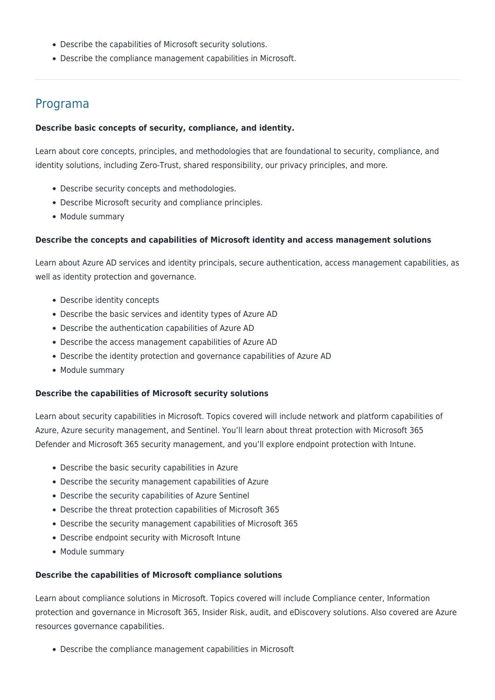- Describe the capabilities of Microsoft security solutions.
- Describe the compliance management capabilities in Microsoft.

### Programa

### **Describe basic concepts of security, compliance, and identity.**

Learn about core concepts, principles, and methodologies that are foundational to security, compliance, and identity solutions, including Zero-Trust, shared responsibility, our privacy principles, and more.

- Describe security concepts and methodologies.
- Describe Microsoft security and compliance principles.
- Module summary

### **Describe the concepts and capabilities of Microsoft identity and access management solutions**

Learn about Azure AD services and identity principals, secure authentication, access management capabilities, as well as identity protection and governance.

- Describe identity concepts
- Describe the basic services and identity types of Azure AD
- Describe the authentication capabilities of Azure AD
- Describe the access management capabilities of Azure AD
- Describe the identity protection and governance capabilities of Azure AD
- Module summary

#### **Describe the capabilities of Microsoft security solutions**

Learn about security capabilities in Microsoft. Topics covered will include network and platform capabilities of Azure, Azure security management, and Sentinel. You'll learn about threat protection with Microsoft 365 Defender and Microsoft 365 security management, and you'll explore endpoint protection with Intune.

- Describe the basic security capabilities in Azure
- Describe the security management capabilities of Azure
- Describe the security capabilities of Azure Sentinel
- Describe the threat protection capabilities of Microsoft 365
- Describe the security management capabilities of Microsoft 365
- Describe endpoint security with Microsoft Intune
- Module summary

### **Describe the capabilities of Microsoft compliance solutions**

Learn about compliance solutions in Microsoft. Topics covered will include Compliance center, Information protection and governance in Microsoft 365, Insider Risk, audit, and eDiscovery solutions. Also covered are Azure resources governance capabilities.

Describe the compliance management capabilities in Microsoft